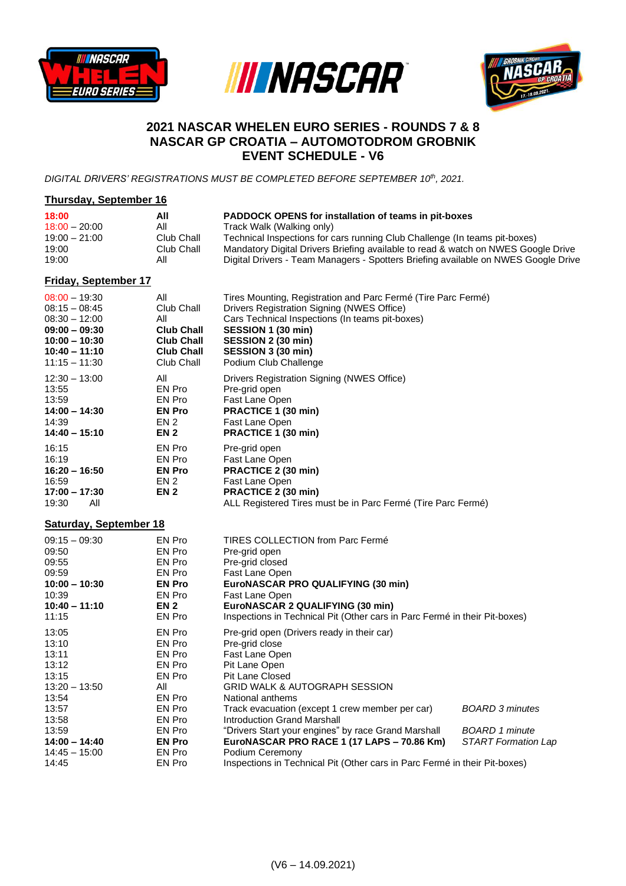





## **2021 NASCAR WHELEN EURO SERIES - ROUNDS 7 & 8 NASCAR GP CROATIA – AUTOMOTODROM GROBNIK EVENT SCHEDULE - V6**

*DIGITAL DRIVERS' REGISTRATIONS MUST BE COMPLETED BEFORE SEPTEMBER 10th , 2021.*

## **Thursday, September 16 18:00 All PADDOCK OPENS for installation of teams in pit-boxes** 18:00 – 20:00 All Track Walk (Walking only)<br>19:00 – 21:00 Club Chall Technical Inspections for c 19:00 – 21:00 Club Chall Technical Inspections for cars running Club Challenge (In teams pit-boxes) 19:00 Club Chall Mandatory Digital Drivers Briefing available to read & watch on NWES Google Drive Digital Drivers - Team Managers - Spotters Briefing available on NWES Google Drive

## **Friday, September 17**

| $08:00 - 19:30$                                                               | All                                                      | Tires Mounting, Registration and Parc Fermé (Tire Parc Fermé)                                                                                                   |                        |
|-------------------------------------------------------------------------------|----------------------------------------------------------|-----------------------------------------------------------------------------------------------------------------------------------------------------------------|------------------------|
| $08:15 - 08:45$                                                               | Club Chall                                               | Drivers Registration Signing (NWES Office)                                                                                                                      |                        |
| $08:30 - 12:00$                                                               | All                                                      | Cars Technical Inspections (In teams pit-boxes)                                                                                                                 |                        |
| $09:00 - 09:30$                                                               | <b>Club Chall</b>                                        | SESSION 1 (30 min)                                                                                                                                              |                        |
| $10:00 - 10:30$                                                               | <b>Club Chall</b>                                        | SESSION 2 (30 min)                                                                                                                                              |                        |
| $10:40 - 11:10$                                                               | <b>Club Chall</b>                                        | SESSION 3 (30 min)                                                                                                                                              |                        |
| $11:15 - 11:30$                                                               | Club Chall                                               | Podium Club Challenge                                                                                                                                           |                        |
| $12:30 - 13:00$                                                               | All                                                      | Drivers Registration Signing (NWES Office)                                                                                                                      |                        |
| 13:55                                                                         | EN Pro                                                   | Pre-grid open                                                                                                                                                   |                        |
| 13:59                                                                         | EN Pro                                                   | Fast Lane Open                                                                                                                                                  |                        |
| $14:00 - 14:30$                                                               | <b>EN Pro</b>                                            | PRACTICE 1 (30 min)                                                                                                                                             |                        |
| 14:39                                                                         | EN <sub>2</sub>                                          | Fast Lane Open                                                                                                                                                  |                        |
| $14:40 - 15:10$                                                               | <b>EN 2</b>                                              | PRACTICE 1 (30 min)                                                                                                                                             |                        |
| 16:15<br>16:19<br>$16:20 - 16:50$<br>16:59<br>$17:00 - 17:30$<br>19:30<br>All | EN Pro<br>EN Pro<br><b>EN Pro</b><br>EN 2<br><b>EN 2</b> | Pre-grid open<br>Fast Lane Open<br>PRACTICE 2 (30 min)<br>Fast Lane Open<br>PRACTICE 2 (30 min)<br>ALL Registered Tires must be in Parc Fermé (Tire Parc Fermé) |                        |
| <b>Saturday, September 18</b>                                                 |                                                          |                                                                                                                                                                 |                        |
| $09:15 - 09:30$                                                               | EN Pro                                                   | TIRES COLLECTION from Parc Fermé                                                                                                                                |                        |
| 09:50                                                                         | EN Pro                                                   | Pre-grid open                                                                                                                                                   |                        |
| 09:55                                                                         | EN Pro                                                   | Pre-grid closed                                                                                                                                                 |                        |
| 09:59                                                                         | EN Pro                                                   | Fast Lane Open                                                                                                                                                  |                        |
| $10:00 - 10:30$                                                               | <b>EN Pro</b>                                            | EuroNASCAR PRO QUALIFYING (30 min)                                                                                                                              |                        |
| 10:39                                                                         | EN Pro                                                   | Fast Lane Open                                                                                                                                                  |                        |
| $10:40 - 11:10$                                                               | EN <sub>2</sub>                                          | EuroNASCAR 2 QUALIFYING (30 min)                                                                                                                                |                        |
| 11:15                                                                         | EN Pro                                                   | Inspections in Technical Pit (Other cars in Parc Fermé in their Pit-boxes)                                                                                      |                        |
| 13:05                                                                         | EN Pro                                                   | Pre-grid open (Drivers ready in their car)                                                                                                                      | <b>BOARD 3 minutes</b> |
| 13:10                                                                         | EN Pro                                                   | Pre-grid close                                                                                                                                                  |                        |
| 13:11                                                                         | EN Pro                                                   | Fast Lane Open                                                                                                                                                  |                        |
| 13:12                                                                         | EN Pro                                                   | Pit Lane Open                                                                                                                                                   |                        |
| 13:15                                                                         | EN Pro                                                   | <b>Pit Lane Closed</b>                                                                                                                                          |                        |
| $13:20 - 13:50$                                                               | All                                                      | <b>GRID WALK &amp; AUTOGRAPH SESSION</b>                                                                                                                        |                        |
| 13:54                                                                         | EN Pro                                                   | National anthems                                                                                                                                                |                        |
| 13:57                                                                         | EN Pro                                                   | Track evacuation (except 1 crew member per car)                                                                                                                 |                        |
| 13:58                                                                         | EN Pro                                                   | <b>Introduction Grand Marshall</b>                                                                                                                              | <b>BOARD 1 minute</b>  |
| 13:59                                                                         | EN Pro                                                   | "Drivers Start your engines" by race Grand Marshall                                                                                                             |                        |